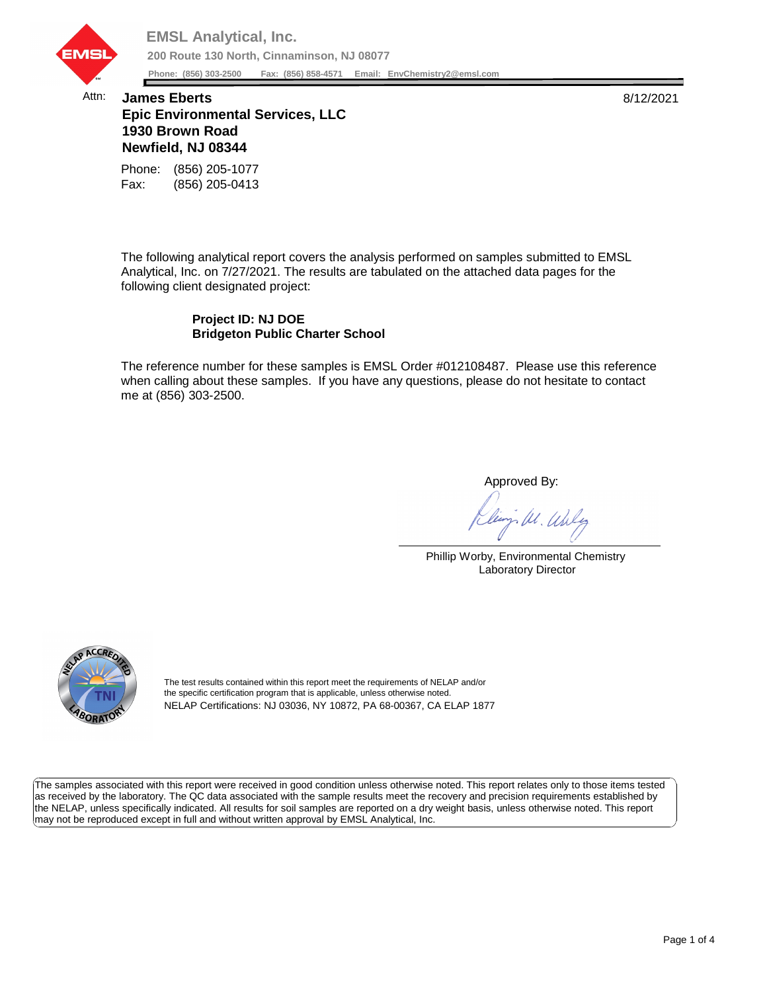

## Attn: **James Eberts** 8/12/2021 **Epic Environmental Services, LLC 1930 Brown Road Newfield, NJ 08344**

Fax: (856) 205-0413 Phone: (856) 205-1077

The following analytical report covers the analysis performed on samples submitted to EMSL Analytical, Inc. on 7/27/2021. The results are tabulated on the attached data pages for the following client designated project:

## **Project ID: NJ DOE Bridgeton Public Charter School**

The reference number for these samples is EMSL Order #012108487. Please use this reference when calling about these samples. If you have any questions, please do not hesitate to contact me at (856) 303-2500.

Approved By:

W. Whly

Phillip Worby, Environmental Chemistry Laboratory Director



The test results contained within this report meet the requirements of NELAP and/or the specific certification program that is applicable, unless otherwise noted. NELAP Certifications: NJ 03036, NY 10872, PA 68-00367, CA ELAP 1877

The samples associated with this report were received in good condition unless otherwise noted. This report relates only to those items tested as received by the laboratory. The QC data associated with the sample results meet the recovery and precision requirements established by the NELAP, unless specifically indicated. All results for soil samples are reported on a dry weight basis, unless otherwise noted. This report may not be reproduced except in full and without written approval by EMSL Analytical, Inc.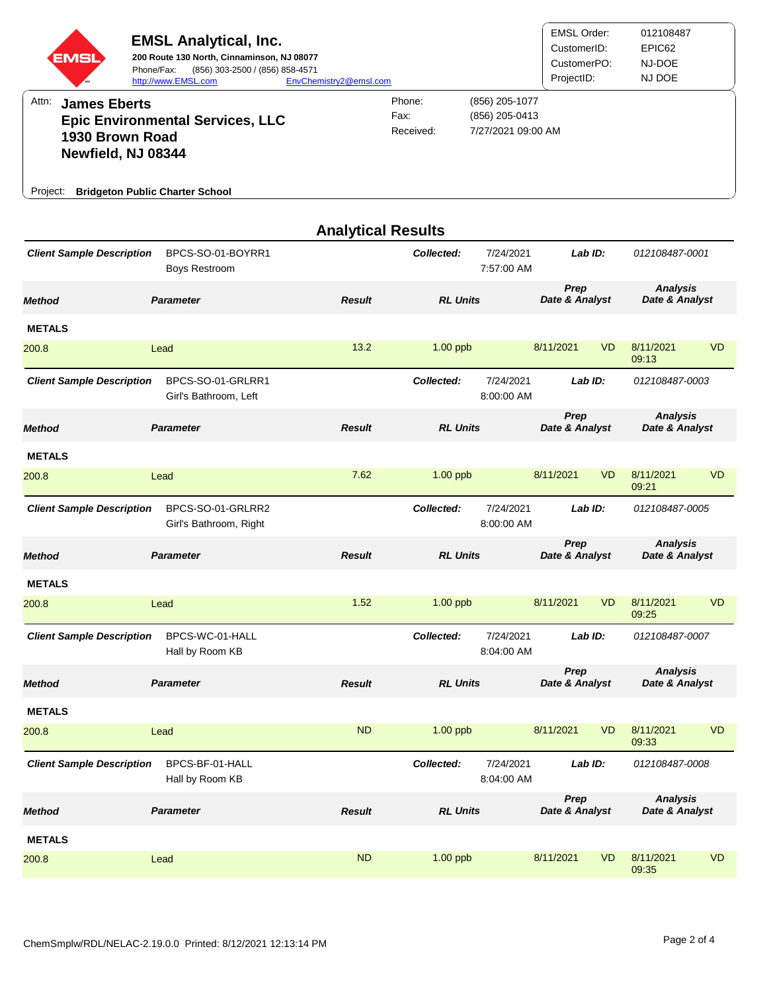| EMSI                                                                              | <b>EMSL Analytical, Inc.</b><br>200 Route 130 North, Cinnaminson, NJ 08077<br>Phone/Fax:<br>(856) 303-2500 / (856) 858-4571<br>http://www.EMSL.com | EnvChemistry2@emsl.com    |                             |                                                        | <b>EMSL Order:</b><br>CustomerID:<br>CustomerPO:<br>ProjectID: |                        | 012108487<br>EPIC62<br>NJ-DOE<br>NJ DOE |                                   |  |
|-----------------------------------------------------------------------------------|----------------------------------------------------------------------------------------------------------------------------------------------------|---------------------------|-----------------------------|--------------------------------------------------------|----------------------------------------------------------------|------------------------|-----------------------------------------|-----------------------------------|--|
| Attn:<br><b>James Eberts</b><br>1930 Brown Road<br>Newfield, NJ 08344<br>Project: | <b>Epic Environmental Services, LLC</b><br><b>Bridgeton Public Charter School</b>                                                                  |                           | Phone:<br>Fax:<br>Received: | (856) 205-1077<br>(856) 205-0413<br>7/27/2021 09:00 AM |                                                                |                        |                                         |                                   |  |
|                                                                                   |                                                                                                                                                    | <b>Analytical Results</b> |                             |                                                        |                                                                |                        |                                         |                                   |  |
| <b>Client Sample Description</b>                                                  | BPCS-SO-01-BOYRR1<br>Boys Restroom                                                                                                                 |                           | Collected:                  | 7/24/2021<br>7:57:00 AM                                | Lab ID:                                                        |                        | 012108487-0001                          |                                   |  |
| <b>Method</b>                                                                     | <b>Parameter</b>                                                                                                                                   | <b>Result</b>             | <b>RL Units</b>             |                                                        | Prep<br>Date & Analyst                                         |                        | <b>Analysis</b><br>Date & Analyst       |                                   |  |
| <b>METALS</b><br>200.8                                                            | Lead                                                                                                                                               | 13.2                      | $1.00$ ppb                  |                                                        | 8/11/2021                                                      | <b>VD</b>              | 8/11/2021<br>09:13                      | <b>VD</b>                         |  |
| <b>Client Sample Description</b>                                                  | BPCS-SO-01-GRLRR1<br>Girl's Bathroom, Left                                                                                                         |                           | Collected:                  | 7/24/2021<br>8:00:00 AM                                | Lab ID:                                                        |                        | 012108487-0003                          |                                   |  |
| <b>Method</b>                                                                     | <b>Parameter</b>                                                                                                                                   | <b>Result</b>             | <b>RL Units</b>             |                                                        | Prep<br>Date & Analyst                                         |                        | <b>Analysis</b><br>Date & Analyst       |                                   |  |
| <b>METALS</b>                                                                     |                                                                                                                                                    |                           |                             |                                                        |                                                                |                        |                                         |                                   |  |
| 200.8                                                                             | Lead                                                                                                                                               | 7.62                      | $1.00$ ppb                  |                                                        | 8/11/2021                                                      | <b>VD</b>              | 8/11/2021<br>09:21                      | <b>VD</b>                         |  |
| <b>Client Sample Description</b>                                                  | BPCS-SO-01-GRLRR2<br>Girl's Bathroom, Right                                                                                                        |                           | Collected:                  | 7/24/2021<br>8:00:00 AM                                | Lab ID:                                                        |                        | 012108487-0005                          |                                   |  |
| <b>Method</b>                                                                     | <b>Parameter</b>                                                                                                                                   | <b>Result</b>             | <b>RL Units</b>             |                                                        | Prep<br>Date & Analyst                                         |                        | <b>Analysis</b><br>Date & Analyst       |                                   |  |
| <b>METALS</b>                                                                     |                                                                                                                                                    |                           |                             |                                                        |                                                                |                        |                                         |                                   |  |
| 200.8                                                                             | Lead                                                                                                                                               | 1.52                      | $1.00$ ppb                  |                                                        | 8/11/2021                                                      | <b>VD</b>              | 8/11/2021<br>09:25                      | <b>VD</b>                         |  |
| <b>Client Sample Description</b>                                                  | BPCS-WC-01-HALL<br>Hall by Room KB                                                                                                                 |                           | Collected:                  | 7/24/2021<br>8:04:00 AM                                | Lab ID:                                                        |                        | 012108487-0007                          |                                   |  |
| <b>Method</b>                                                                     | <b>Parameter</b>                                                                                                                                   | <b>Result</b>             | <b>RL Units</b>             |                                                        | Prep<br>Date & Analyst                                         |                        | <b>Analysis</b><br>Date & Analyst       |                                   |  |
| <b>METALS</b>                                                                     |                                                                                                                                                    |                           |                             |                                                        |                                                                |                        |                                         |                                   |  |
| 200.8                                                                             | Lead                                                                                                                                               | <b>ND</b>                 | $1.00$ ppb                  |                                                        | 8/11/2021                                                      | <b>VD</b>              | 8/11/2021<br>09:33                      | <b>VD</b>                         |  |
| <b>Client Sample Description</b>                                                  | BPCS-BF-01-HALL<br>Hall by Room KB                                                                                                                 |                           | Collected:                  | 7/24/2021<br>8:04:00 AM                                | Lab ID:                                                        |                        | 012108487-0008                          |                                   |  |
| <b>Method</b>                                                                     | <b>Parameter</b>                                                                                                                                   | <b>Result</b>             |                             | <b>RL Units</b>                                        |                                                                | Prep<br>Date & Analyst |                                         | <b>Analysis</b><br>Date & Analyst |  |
| <b>METALS</b>                                                                     |                                                                                                                                                    |                           |                             |                                                        |                                                                |                        |                                         |                                   |  |
| 200.8                                                                             | Lead                                                                                                                                               | <b>ND</b>                 | $1.00$ ppb                  |                                                        | 8/11/2021                                                      | <b>VD</b>              | 8/11/2021<br>09:35                      | <b>VD</b>                         |  |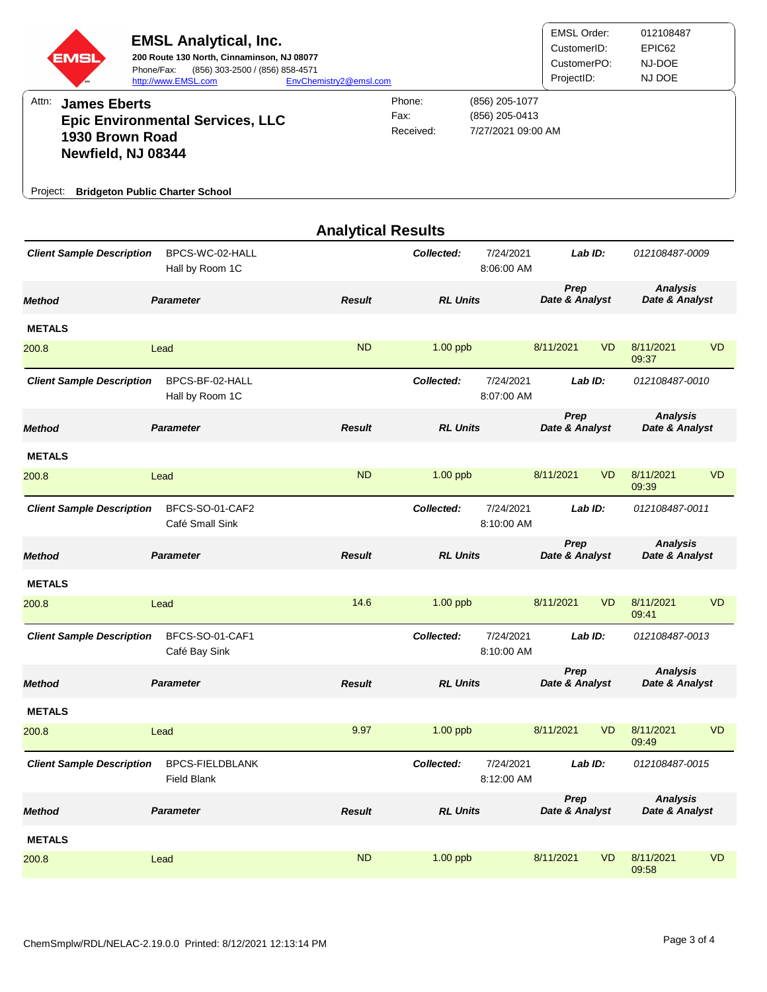| EMS<br>Attn:<br><b>James Eberts</b><br>1930 Brown Road<br>Newfield, NJ 08344<br>Project: | <b>EMSL Analytical, Inc.</b><br>200 Route 130 North, Cinnaminson, NJ 08077<br>Phone/Fax:<br>(856) 303-2500 / (856) 858-4571<br>http://www.EMSL.com<br><b>Epic Environmental Services, LLC</b><br><b>Bridgeton Public Charter School</b> | EnvChemistry2@emsl.com    | Phone:<br>Fax:<br>Received: | (856) 205-1077<br>(856) 205-0413<br>7/27/2021 09:00 AM | <b>EMSL Order:</b><br>CustomerID:<br>CustomerPO:<br>ProjectID: |                        | 012108487<br>EPIC62<br>NJ-DOE<br>NJ DOE |                                   |  |
|------------------------------------------------------------------------------------------|-----------------------------------------------------------------------------------------------------------------------------------------------------------------------------------------------------------------------------------------|---------------------------|-----------------------------|--------------------------------------------------------|----------------------------------------------------------------|------------------------|-----------------------------------------|-----------------------------------|--|
|                                                                                          |                                                                                                                                                                                                                                         | <b>Analytical Results</b> |                             |                                                        |                                                                |                        |                                         |                                   |  |
| <b>Client Sample Description</b>                                                         | BPCS-WC-02-HALL<br>Hall by Room 1C                                                                                                                                                                                                      |                           | Collected:                  | 7/24/2021<br>8:06:00 AM                                | Lab ID:                                                        |                        | 012108487-0009                          |                                   |  |
| <b>Method</b>                                                                            | <b>Parameter</b>                                                                                                                                                                                                                        | <b>Result</b>             | <b>RL Units</b>             |                                                        | Prep<br>Date & Analyst                                         |                        | <b>Analysis</b><br>Date & Analyst       |                                   |  |
| <b>METALS</b>                                                                            |                                                                                                                                                                                                                                         |                           |                             |                                                        |                                                                |                        |                                         |                                   |  |
| 200.8                                                                                    | Lead                                                                                                                                                                                                                                    | <b>ND</b>                 | $1.00$ ppb                  |                                                        | 8/11/2021                                                      | <b>VD</b>              | 8/11/2021<br>09:37                      | <b>VD</b>                         |  |
| <b>Client Sample Description</b>                                                         | BPCS-BF-02-HALL<br>Hall by Room 1C                                                                                                                                                                                                      |                           | Collected:                  | 7/24/2021<br>8:07:00 AM                                |                                                                | Lab ID:                | 012108487-0010                          |                                   |  |
| <b>Method</b>                                                                            | <b>Parameter</b>                                                                                                                                                                                                                        | <b>Result</b>             | <b>RL Units</b>             |                                                        | Prep<br>Date & Analyst                                         |                        | <b>Analysis</b><br>Date & Analyst       |                                   |  |
| <b>METALS</b>                                                                            |                                                                                                                                                                                                                                         |                           |                             |                                                        |                                                                |                        |                                         |                                   |  |
| 200.8                                                                                    | Lead                                                                                                                                                                                                                                    | <b>ND</b>                 | $1.00$ ppb                  |                                                        | 8/11/2021                                                      | <b>VD</b>              | 8/11/2021<br>09:39                      | <b>VD</b>                         |  |
| <b>Client Sample Description</b>                                                         | BFCS-SO-01-CAF2<br>Café Small Sink                                                                                                                                                                                                      |                           | Collected:                  | 7/24/2021<br>8:10:00 AM                                |                                                                | Lab ID:                | 012108487-0011                          |                                   |  |
| <b>Method</b>                                                                            | <b>Parameter</b>                                                                                                                                                                                                                        | <b>Result</b>             | <b>RL Units</b>             |                                                        | Prep<br>Date & Analyst                                         |                        | <b>Analysis</b><br>Date & Analyst       |                                   |  |
| <b>METALS</b>                                                                            |                                                                                                                                                                                                                                         |                           |                             |                                                        |                                                                |                        |                                         |                                   |  |
| 200.8                                                                                    | Lead                                                                                                                                                                                                                                    | 14.6                      | $1.00$ ppb                  |                                                        | 8/11/2021                                                      | <b>VD</b>              | 8/11/2021<br>09:41                      | <b>VD</b>                         |  |
| <b>Client Sample Description</b>                                                         | BFCS-SO-01-CAF1<br>Café Bay Sink                                                                                                                                                                                                        |                           | Collected:                  | 7/24/2021<br>8:10:00 AM                                |                                                                | Lab ID:                | 012108487-0013                          |                                   |  |
| <b>Method</b>                                                                            | <b>Parameter</b>                                                                                                                                                                                                                        | <b>Result</b>             | <b>RL Units</b>             |                                                        | Prep<br>Date & Analyst                                         |                        | <b>Analysis</b><br>Date & Analyst       |                                   |  |
| <b>METALS</b>                                                                            |                                                                                                                                                                                                                                         |                           |                             |                                                        |                                                                |                        |                                         |                                   |  |
| 200.8                                                                                    | Lead                                                                                                                                                                                                                                    | 9.97                      | $1.00$ ppb                  |                                                        | 8/11/2021                                                      | <b>VD</b>              | 8/11/2021<br>09:49                      | <b>VD</b>                         |  |
| <b>Client Sample Description</b>                                                         | <b>BPCS-FIELDBLANK</b><br><b>Field Blank</b>                                                                                                                                                                                            |                           | Collected:                  | 7/24/2021<br>8:12:00 AM                                |                                                                | Lab ID:                | 012108487-0015                          |                                   |  |
| <b>Method</b>                                                                            | <b>Parameter</b>                                                                                                                                                                                                                        | <b>Result</b>             |                             | <b>RL Units</b>                                        |                                                                | Prep<br>Date & Analyst |                                         | <b>Analysis</b><br>Date & Analyst |  |
| <b>METALS</b>                                                                            |                                                                                                                                                                                                                                         |                           |                             |                                                        |                                                                |                        |                                         |                                   |  |
| 200.8                                                                                    | Lead                                                                                                                                                                                                                                    | <b>ND</b>                 | $1.00$ ppb                  |                                                        | 8/11/2021                                                      | <b>VD</b>              | 8/11/2021<br>09:58                      | <b>VD</b>                         |  |